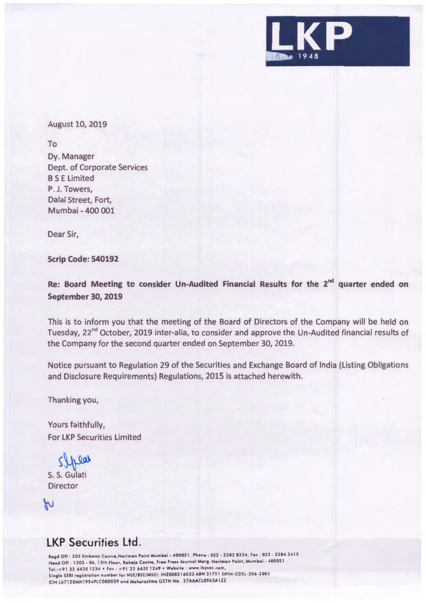

## August 10, 2019

To

Dy. Manager Dept. of Corporate Services BS E Limited P. J. Towers, Dalal Street, Fort, Mumbai - 400 001

Dear Sir,

**Scrip Code: 540192** 

**Re: Board Meeting to consider Un-Audited Financial Results for the 2nd quarter ended on September 30, 2019** 

This is to inform you that the meeting of the Board of Directors of the Company will be held on Tuesday, 22<sup>nd</sup> October, 2019 inter-alia, to consider and approve the Un-Audited financial results of the Company for the second quarter ended on September 30, 2019.

Notice pursuant to Regulation 29 of the Securities and Exchange Board of India (Listing Obligations and Disclosure Requirements) Regulations, 2015 is attached herewith.

Thanking you,

Yours faithfully, For LKP Securities limited

 $$\int_{S.S.}$  Gulati

**Director** 

W

## **LKP Securities Ltd.**

Regd Off : 203 Embassy Centre, Nariman Point Mumbai - 400021. Phone : 022 - 2282 8234, Fax : 022 - 2284 2415 Head Off : 1303 - 04, 13th Floor, Raheja Centre, Free Press Journal Marg, Nariman Point, Mumbai - 400021. Tel.:+91 22 6635 1234 • Fax : +91 22 6635 1249 • Website : www.lkpsec.com, Single SEBI registration number for NSE/BSE/MSEI : INZ0002 l 6033 ARN 31751 DPIN-CDSL-206-2003 CIN L67120MH1994PLC080039 and Maharoshtro GSTN No . 27AAACL0963A1ZZ